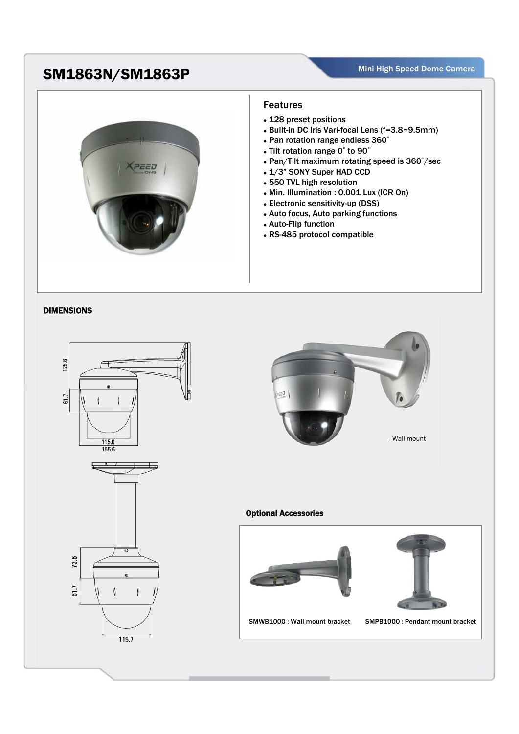## SM1863N/SM1863P<br>
SM1863N/SM1863P



## Features

- 128 preset positions
- Built-in DC Iris Vari-focal Lens (f=3.8~9.5mm)
- Pan rotation range endless 360°
- Tilt rotation range 0° to 90°
- Pan/Tilt maximum rotating speed is 360°/sec
- 1/3" SONY Super HAD CCD
- 550 TVL high resolution
- Min. Illumination : 0.001 Lux (ICR On)
- Electronic sensitivity-up (DSS)
- Auto focus, Auto parking functions
- Auto-Flip function
- RS-485 protocol compatible

## DIMENSIONS





## Optional Accessories





SMWB1000 : Wall mount bracket SMPB1000 : Pendant mount bracket